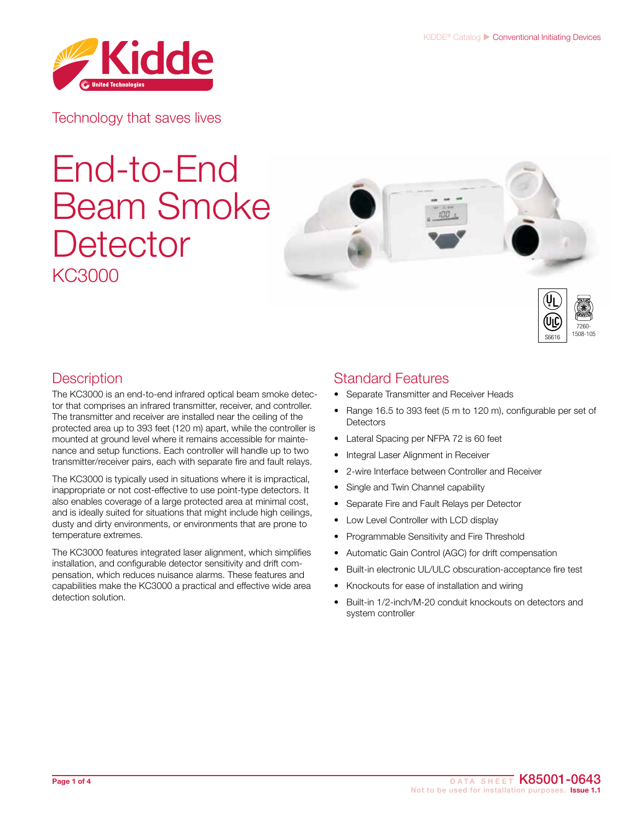

Technology that saves lives

# End-to-End Beam Smoke **Detector** KC3000





## **Description**

The KC3000 is an end-to-end infrared optical beam smoke detector that comprises an infrared transmitter, receiver, and controller. The transmitter and receiver are installed near the ceiling of the protected area up to 393 feet (120 m) apart, while the controller is mounted at ground level where it remains accessible for maintenance and setup functions. Each controller will handle up to two transmitter/receiver pairs, each with separate fire and fault relays.

The KC3000 is typically used in situations where it is impractical, inappropriate or not cost-effective to use point-type detectors. It also enables coverage of a large protected area at minimal cost, and is ideally suited for situations that might include high ceilings, dusty and dirty environments, or environments that are prone to temperature extremes.

The KC3000 features integrated laser alignment, which simplifies installation, and configurable detector sensitivity and drift compensation, which reduces nuisance alarms. These features and capabilities make the KC3000 a practical and effective wide area detection solution.

### Standard Features

- Separate Transmitter and Receiver Heads
- Range 16.5 to 393 feet (5 m to 120 m), configurable per set of **Detectors**
- Lateral Spacing per NFPA 72 is 60 feet
- Integral Laser Alignment in Receiver
- 2-wire Interface between Controller and Receiver
- Single and Twin Channel capability
- Separate Fire and Fault Relays per Detector
- Low Level Controller with LCD display
- Programmable Sensitivity and Fire Threshold
- Automatic Gain Control (AGC) for drift compensation
- Built-in electronic UL/ULC obscuration-acceptance fire test
- Knockouts for ease of installation and wiring
- Built-in 1/2-inch/M-20 conduit knockouts on detectors and system controller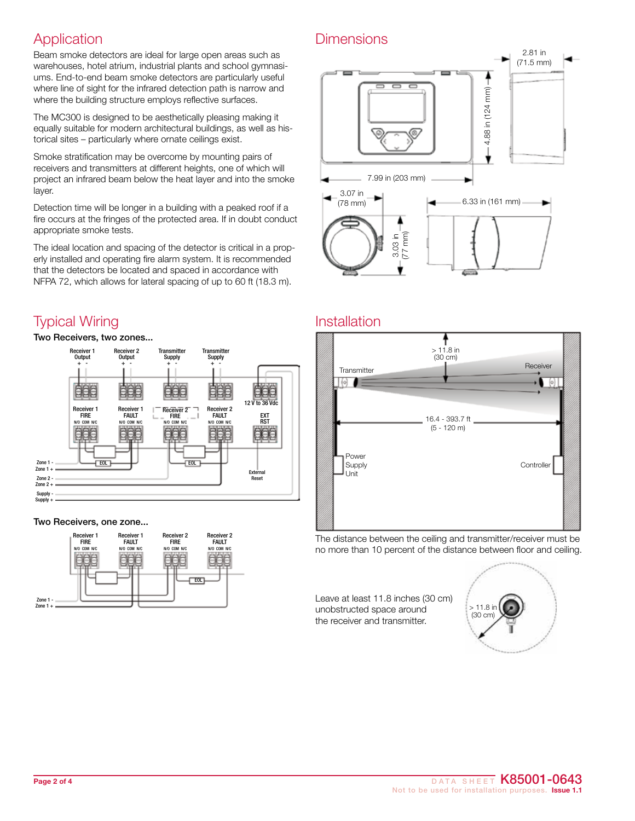## **Application**

Beam smoke detectors are ideal for large open areas such as warehouses, hotel atrium, industrial plants and school gymnasiums. End-to-end beam smoke detectors are particularly useful where line of sight for the infrared detection path is narrow and where the building structure employs reflective surfaces.

The MC300 is designed to be aesthetically pleasing making it equally suitable for modern architectural buildings, as well as historical sites – particularly where ornate ceilings exist.

Smoke stratification may be overcome by mounting pairs of receivers and transmitters at different heights, one of which will project an infrared beam below the heat layer and into the smoke layer.

Detection time will be longer in a building with a peaked roof if a fire occurs at the fringes of the protected area. If in doubt conduct appropriate smoke tests.

The ideal location and spacing of the detector is critical in a properly installed and operating fire alarm system. It is recommended that the detectors be located and spaced in accordance with NFPA 72, which allows for lateral spacing of up to 60 ft (18.3 m).

# Typical Wiring

Two Receivers, two zones...



#### Two Receivers, one zone...



#### **Dimensions**



#### Installation



The distance between the ceiling and transmitter/receiver must be no more than 10 percent of the distance between floor and ceiling.

Leave at least 11.8 inches (30 cm) unobstructed space around the receiver and transmitter.

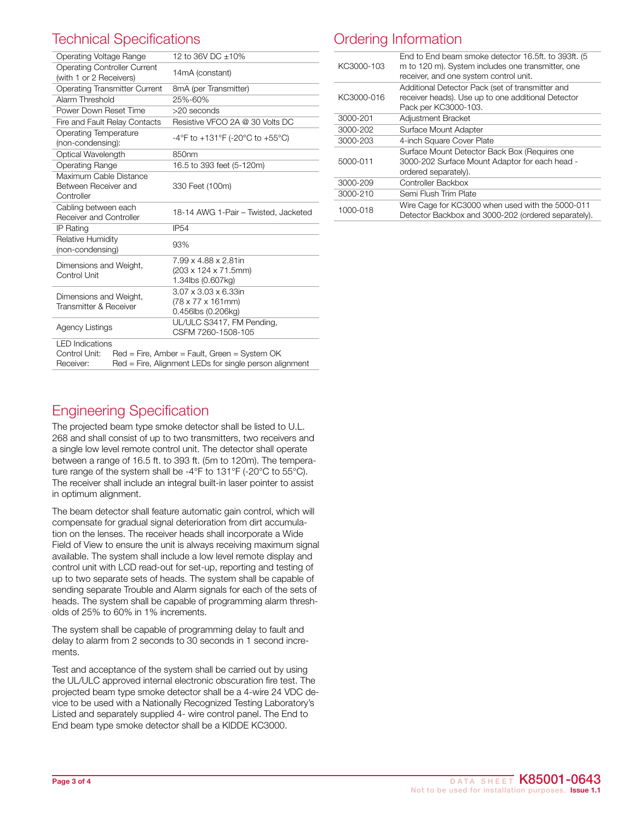# Technical Specifications

| 12 to 36V DC +10%                                                                                                                                              |  |  |
|----------------------------------------------------------------------------------------------------------------------------------------------------------------|--|--|
| 14mA (constant)                                                                                                                                                |  |  |
| 8mA (per Transmitter)                                                                                                                                          |  |  |
| 25%-60%                                                                                                                                                        |  |  |
| $>20$ seconds                                                                                                                                                  |  |  |
| Resistive VFCO 2A @ 30 Volts DC                                                                                                                                |  |  |
| -4°F to +131°F (-20°C to +55°C)                                                                                                                                |  |  |
| 850nm                                                                                                                                                          |  |  |
| 16.5 to 393 feet (5-120m)                                                                                                                                      |  |  |
| 330 Feet (100m)                                                                                                                                                |  |  |
| 18-14 AWG 1-Pair - Twisted, Jacketed                                                                                                                           |  |  |
| <b>IP54</b>                                                                                                                                                    |  |  |
| 93%                                                                                                                                                            |  |  |
| 7.99 x 4.88 x 2.81in<br>(203 x 124 x 71.5mm)<br>1.34lbs (0.607kg)                                                                                              |  |  |
| 3.07 x 3.03 x 6.33in<br>(78 x 77 x 161mm)<br>0.456lbs (0.206kg)                                                                                                |  |  |
| UL/ULC S3417, FM Pending,<br>CSFM 7260-1508-105                                                                                                                |  |  |
| <b>LED</b> Indications<br>Control Unit:<br>Red = Fire, Amber = Fault, Green = System OK<br>Receiver:<br>Red = Fire, Alignment LEDs for single person alignment |  |  |
|                                                                                                                                                                |  |  |

### Ordering Information

| KC3000-103 | End to End beam smoke detector 16.5ft. to 393ft. (5)<br>m to 120 m). System includes one transmitter, one<br>receiver, and one system control unit. |
|------------|-----------------------------------------------------------------------------------------------------------------------------------------------------|
| KC3000-016 | Additional Detector Pack (set of transmitter and<br>receiver heads). Use up to one additional Detector<br>Pack per KC3000-103.                      |
| 3000-201   | Adjustment Bracket                                                                                                                                  |
| 3000-202   | Surface Mount Adapter                                                                                                                               |
| 3000-203   | 4-inch Square Cover Plate                                                                                                                           |
| 5000-011   | Surface Mount Detector Back Box (Requires one<br>3000-202 Surface Mount Adaptor for each head -<br>ordered separately).                             |
| 3000-209   | Controller Backbox                                                                                                                                  |
| 3000-210   | Semi Flush Trim Plate                                                                                                                               |
| 1000-018   | Wire Cage for KC3000 when used with the 5000-011<br>Detector Backbox and 3000-202 (ordered separately).                                             |

#### Engineering Specification

The projected beam type smoke detector shall be listed to U.L. 268 and shall consist of up to two transmitters, two receivers and a single low level remote control unit. The detector shall operate between a range of 16.5 ft. to 393 ft. (5m to 120m). The temperature range of the system shall be -4°F to 131°F (-20°C to 55°C). The receiver shall include an integral built-in laser pointer to assist in optimum alignment.

The beam detector shall feature automatic gain control, which will compensate for gradual signal deterioration from dirt accumulation on the lenses. The receiver heads shall incorporate a Wide Field of View to ensure the unit is always receiving maximum signal available. The system shall include a low level remote display and control unit with LCD read-out for set-up, reporting and testing of up to two separate sets of heads. The system shall be capable of sending separate Trouble and Alarm signals for each of the sets of heads. The system shall be capable of programming alarm thresholds of 25% to 60% in 1% increments.

The system shall be capable of programming delay to fault and delay to alarm from 2 seconds to 30 seconds in 1 second increments.

Test and acceptance of the system shall be carried out by using the UL/ULC approved internal electronic obscuration fire test. The projected beam type smoke detector shall be a 4-wire 24 VDC device to be used with a Nationally Recognized Testing Laboratory's Listed and separately supplied 4- wire control panel. The End to End beam type smoke detector shall be a KIDDE KC3000.